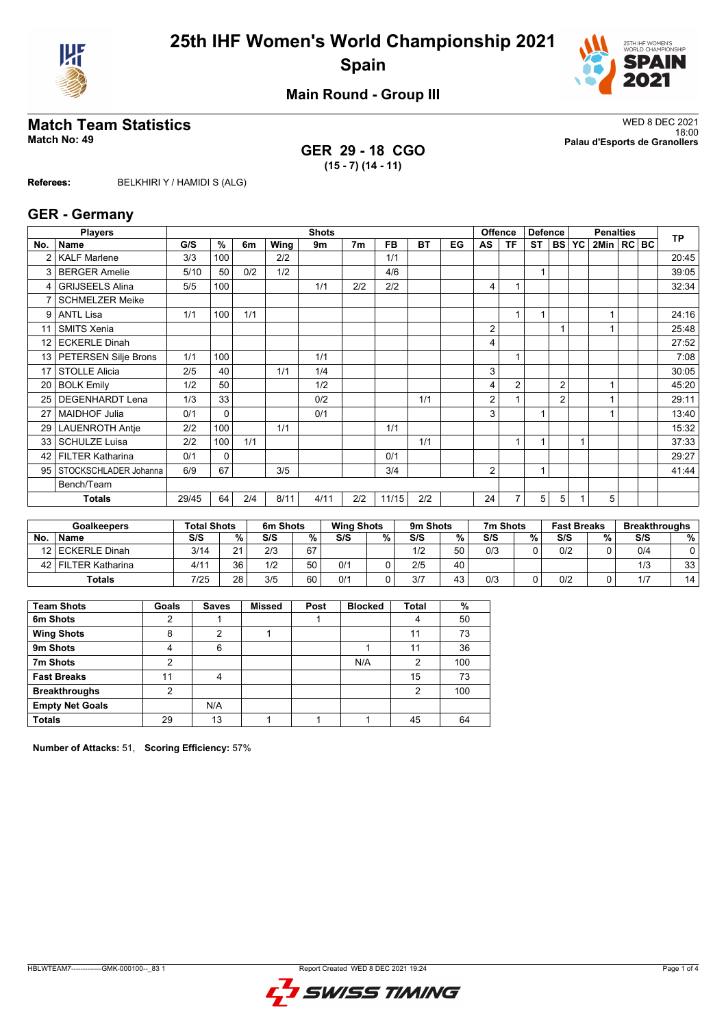



**Main Round - Group III**

**GER 29 - 18 CGO (15 - 7) (14 - 11)**

**Match Team Statistics** WED 8 DEC 2021 18:00 **Match No: 49 Palau d'Esports de Granollers**

**Referees:** BELKHIRI Y / HAMIDI S (ALG)

#### **GER - Germany**

|                 | <b>Players</b>             |       | <b>Shots</b><br>Offence |     |      |      |                |           |           |    |                | <b>Defence</b> |           | <b>Penalties</b> |                |                |  | <b>TP</b> |       |
|-----------------|----------------------------|-------|-------------------------|-----|------|------|----------------|-----------|-----------|----|----------------|----------------|-----------|------------------|----------------|----------------|--|-----------|-------|
| No.             | Name                       | G/S   | %                       | 6m  | Wing | 9m   | 7 <sub>m</sub> | <b>FB</b> | <b>BT</b> | EG | AS             | ΤF             | <b>ST</b> | <b>BS</b>        | <b>YC</b>      | 2Min   RC   BC |  |           |       |
| $\overline{2}$  | <b>KALF Marlene</b>        | 3/3   | 100                     |     | 2/2  |      |                | 1/1       |           |    |                |                |           |                  |                |                |  |           | 20:45 |
| 3               | <b>BERGER Amelie</b>       | 5/10  | 50                      | 0/2 | 1/2  |      |                | 4/6       |           |    |                |                | 1         |                  |                |                |  |           | 39:05 |
| 4               | <b>GRIJSEELS Alina</b>     | 5/5   | 100                     |     |      | 1/1  | 2/2            | 2/2       |           |    | 4              |                |           |                  |                |                |  |           | 32:34 |
| 7               | <b>SCHMELZER Meike</b>     |       |                         |     |      |      |                |           |           |    |                |                |           |                  |                |                |  |           |       |
| 9               | <b>ANTL Lisa</b>           | 1/1   | 100                     | 1/1 |      |      |                |           |           |    |                |                | 1         |                  |                |                |  |           | 24:16 |
| 11              | <b>SMITS Xenia</b>         |       |                         |     |      |      |                |           |           |    | $\overline{2}$ |                |           |                  |                |                |  |           | 25:48 |
| 12              | <b>ECKERLE Dinah</b>       |       |                         |     |      |      |                |           |           |    | 4              |                |           |                  |                |                |  |           | 27:52 |
| 13 <sup>1</sup> | PETERSEN Silje Brons       | 1/1   | 100                     |     |      | 1/1  |                |           |           |    |                |                |           |                  |                |                |  |           | 7:08  |
| 17              | <b>STOLLE Alicia</b>       | 2/5   | 40                      |     | 1/1  | 1/4  |                |           |           |    | 3              |                |           |                  |                |                |  |           | 30:05 |
| 20              | <b>BOLK Emily</b>          | 1/2   | 50                      |     |      | 1/2  |                |           |           |    | 4              | $\overline{2}$ |           | $\overline{2}$   |                |                |  |           | 45:20 |
| 25 <sub>1</sub> | <b>DEGENHARDT Lena</b>     | 1/3   | 33                      |     |      | 0/2  |                |           | 1/1       |    | 2              |                |           | 2                |                |                |  |           | 29:11 |
| 27              | <b>MAIDHOF Julia</b>       | 0/1   | $\Omega$                |     |      | 0/1  |                |           |           |    | 3              |                |           |                  |                |                |  |           | 13:40 |
| 29              | <b>LAUENROTH Antie</b>     | 2/2   | 100                     |     | 1/1  |      |                | 1/1       |           |    |                |                |           |                  |                |                |  |           | 15:32 |
| 33              | <b>SCHULZE Luisa</b>       | 2/2   | 100                     | 1/1 |      |      |                |           | 1/1       |    |                |                |           |                  | $\overline{ }$ |                |  |           | 37:33 |
| 42              | <b>FILTER Katharina</b>    | 0/1   | $\mathbf{0}$            |     |      |      |                | 0/1       |           |    |                |                |           |                  |                |                |  |           | 29:27 |
|                 | 95   STOCKSCHLADER Johanna | 6/9   | 67                      |     | 3/5  |      |                | 3/4       |           |    | 2              |                | 1         |                  |                |                |  |           | 41:44 |
|                 | Bench/Team                 |       |                         |     |      |      |                |           |           |    |                |                |           |                  |                |                |  |           |       |
|                 | <b>Totals</b>              | 29/45 | 64                      | 2/4 | 8/11 | 4/11 | 2/2            | 11/15     | 2/2       |    | 24             |                | 5         | 5                |                | 5              |  |           |       |

| <b>Goalkeepers</b> |                    | <b>Total Shots</b> |          | 6m Shots |    | <b>Wing Shots</b> |   | 9m Shots |    | 7m Shots<br><b>Fast Breaks</b> |   | <b>Breakthroughs</b> |   |     |    |
|--------------------|--------------------|--------------------|----------|----------|----|-------------------|---|----------|----|--------------------------------|---|----------------------|---|-----|----|
| <b>No</b>          | <b>Name</b>        | S/S                | %.       | S/S      | %  | S/S               | % | S/S      | %  | S/S                            | % | S/S                  | % | S/S | %  |
|                    | 12 ECKERLE Dinah   | 3/14               | $\Omega$ | 2/3      | 67 |                   |   | 1/2      | 50 | 0/3                            |   | 0/2                  |   | 0/4 |    |
| 42 l               | l FILTER Katharina | 4/1                | 36       | 1/2      | 50 | 0/1               |   | 2/5      | 40 |                                |   |                      |   | 1/3 | 33 |
|                    | <b>Totals</b>      | 7/25               | 28       | 3/5      | 60 | 0/1               |   | 3/7      | 43 | 0/3                            |   | 0/2                  |   | 1/7 | 14 |

| <b>Team Shots</b>      | Goals | <b>Saves</b> | <b>Missed</b> | Post | <b>Blocked</b> | Total | %   |
|------------------------|-------|--------------|---------------|------|----------------|-------|-----|
| 6m Shots               | 2     |              |               |      |                | 4     | 50  |
| <b>Wing Shots</b>      | 8     | າ            |               |      |                | 11    | 73  |
| 9m Shots               | 4     | 6            |               |      |                | 11    | 36  |
| 7m Shots               | 2     |              |               |      | N/A            | 2     | 100 |
| <b>Fast Breaks</b>     | 11    | 4            |               |      |                | 15    | 73  |
| <b>Breakthroughs</b>   | 2     |              |               |      |                | 2     | 100 |
| <b>Empty Net Goals</b> |       | N/A          |               |      |                |       |     |
| <b>Totals</b>          | 29    | 13           |               |      |                | 45    | 64  |

**Number of Attacks:** 51, **Scoring Efficiency:** 57%

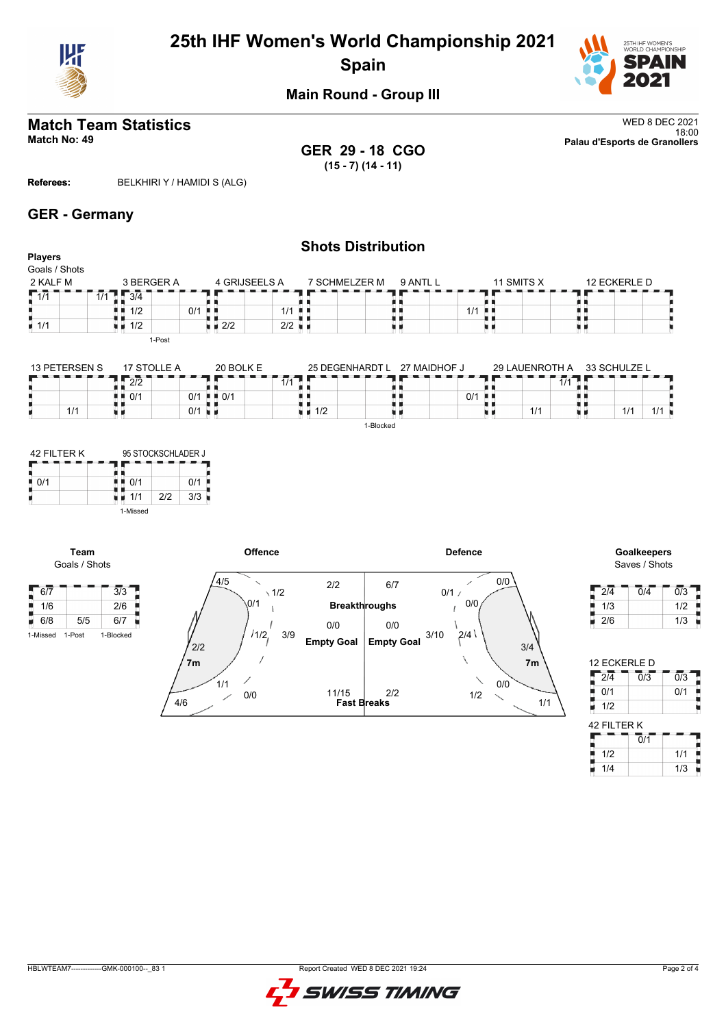

# **25th IHF Women's World Championship 2021 Spain**



**Main Round - Group III**

# **Match Team Statistics** WED 8 DEC 2021

**GER 29 - 18 CGO (15 - 7) (14 - 11)**

18:00 **Match No: 49 Palau d'Esports de Granollers**

**Referees:** BELKHIRI Y / HAMIDI S (ALG)

### **GER - Germany**

#### **Shots Distribution Players** Goals / Shots  $4$  GRIJSEELS A 2 KALF M 3 BERGER A 7 SCHMELZER M 9 ANTL L 11 SMITS X 12 ECKERLE D  $-7$  $\frac{1}{1/1}$ п Ħ 2/2 2/2  $13/4$ ii<br>U ii<br>:: R, 1/1  $1/1$   $\frac{1}{1}$  $1/2$  0/1  $\frac{1}{1/1}$ ■ 1/2 ù. 1-Post

| 13 PETERSEN S | 17 STOLLE A | 20 BOLK E   | 25 DEGENHARDT L | 27 MAIDHOF J |     | 29 LAUENROTH A  | 33 SCHULZE L |  |
|---------------|-------------|-------------|-----------------|--------------|-----|-----------------|--------------|--|
|               | רור<br>212  |             | 1/1             |              |     | $\overline{14}$ |              |  |
|               | 0/1<br>. .  | $0/1$ = 0/1 |                 |              | 0/1 |                 |              |  |
| 1/1           |             | 0/1         | 1/2             |              |     | 1/1             | 1/1          |  |
|               |             |             |                 | 1-Blocked    |     |                 |              |  |

| 42 FII TFR K |          | 95 STOCKSCHLADER J |     |  |  |  |  |  |
|--------------|----------|--------------------|-----|--|--|--|--|--|
| 0/1          | 0/1      |                    | 0/1 |  |  |  |  |  |
|              | 1/1      | 212                | 3/3 |  |  |  |  |  |
|              | 1-Missed |                    |     |  |  |  |  |  |

**Team**





| 2/4 | 0/4 | 0/3 |
|-----|-----|-----|
| 1/3 |     | 1/2 |
| 2/6 |     | 1/3 |

| 12 ECKERLE D     |                             |                  |  |  |  |  |  |  |  |  |  |
|------------------|-----------------------------|------------------|--|--|--|--|--|--|--|--|--|
| $\overline{2/4}$ | $\overline{0/3}$            | $\overline{0/3}$ |  |  |  |  |  |  |  |  |  |
| 0/1              |                             | 0/1              |  |  |  |  |  |  |  |  |  |
| 1/2              |                             |                  |  |  |  |  |  |  |  |  |  |
| 42 FILTER K      |                             |                  |  |  |  |  |  |  |  |  |  |
|                  | $\overline{0}/\overline{1}$ |                  |  |  |  |  |  |  |  |  |  |
| 1/2              |                             | 1/1              |  |  |  |  |  |  |  |  |  |
| 1/4              |                             | 1/3              |  |  |  |  |  |  |  |  |  |

| 83<br>GMK-000100--<br><b>HBLWTEAM7</b> | WED 8 DEC 2021 19:24<br>Report Created |
|----------------------------------------|----------------------------------------|

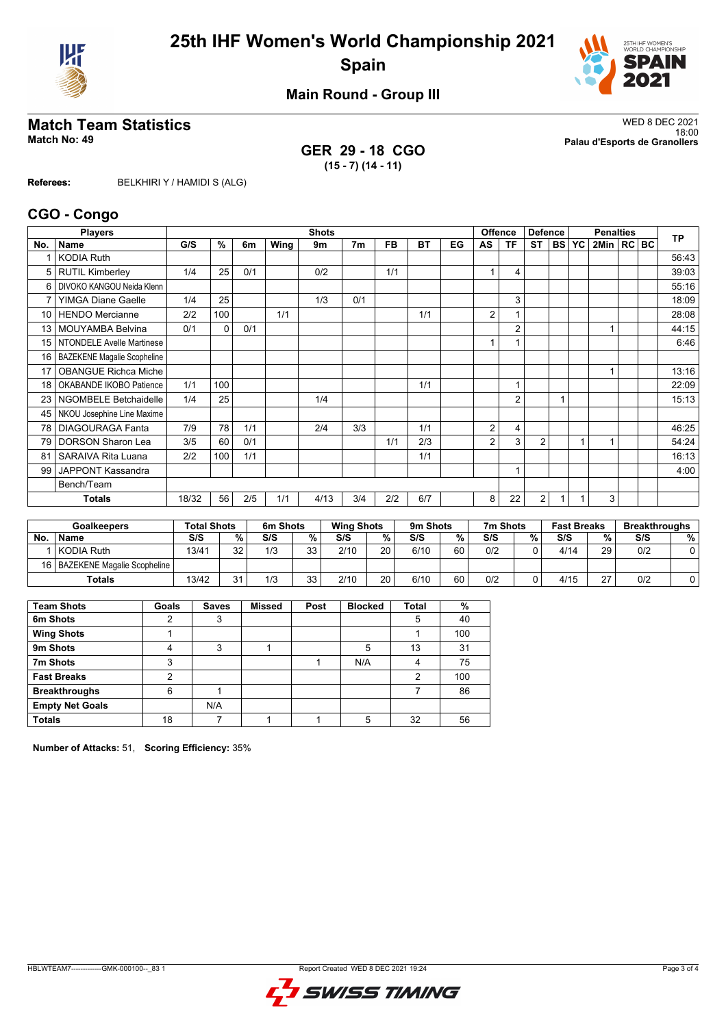



**Main Round - Group III**

**GER 29 - 18 CGO (15 - 7) (14 - 11)**

**Match Team Statistics** WED 8 DEC 2021 18:00 **Match No: 49 Palau d'Esports de Granollers**

**Referees:** BELKHIRI Y / HAMIDI S (ALG)

#### **CGO - Congo**

|                 | <b>Players</b>                     | <b>Shots</b><br><b>Offence</b><br><b>Defence</b><br><b>Penalties</b> |          |     |             |      |                |           |           | <b>TP</b> |    |                         |                |           |    |              |  |       |
|-----------------|------------------------------------|----------------------------------------------------------------------|----------|-----|-------------|------|----------------|-----------|-----------|-----------|----|-------------------------|----------------|-----------|----|--------------|--|-------|
| No.             | Name                               | G/S                                                                  | %        | 6m  | <b>Wing</b> | 9m   | 7 <sub>m</sub> | <b>FB</b> | <b>BT</b> | EG        | AS | ΤF                      | <b>ST</b>      | <b>BS</b> | YC | 2Min   RC BC |  |       |
|                 | <b>KODIA Ruth</b>                  |                                                                      |          |     |             |      |                |           |           |           |    |                         |                |           |    |              |  | 56:43 |
| 5               | <b>RUTIL Kimberley</b>             | 1/4                                                                  | 25       | 0/1 |             | 0/2  |                | 1/1       |           |           | 1  | 4                       |                |           |    |              |  | 39:03 |
| 6               | DIVOKO KANGOU Neida Klenn          |                                                                      |          |     |             |      |                |           |           |           |    |                         |                |           |    |              |  | 55:16 |
| 7               | <b>YIMGA Diane Gaelle</b>          | 1/4                                                                  | 25       |     |             | 1/3  | 0/1            |           |           |           |    | 3                       |                |           |    |              |  | 18:09 |
| 10 <sup>1</sup> | <b>HENDO Mercianne</b>             | 2/2                                                                  | 100      |     | 1/1         |      |                |           | 1/1       |           | 2  |                         |                |           |    |              |  | 28:08 |
| 13              | <b>MOUYAMBA Belvina</b>            | 0/1                                                                  | $\Omega$ | 0/1 |             |      |                |           |           |           |    | $\overline{2}$          |                |           |    |              |  | 44:15 |
| 15              | <b>NTONDELE Avelle Martinese</b>   |                                                                      |          |     |             |      |                |           |           |           |    |                         |                |           |    |              |  | 6:46  |
| 16              | <b>BAZEKENE Magalie Scopheline</b> |                                                                      |          |     |             |      |                |           |           |           |    |                         |                |           |    |              |  |       |
| 17              | <b>OBANGUE Richca Miche</b>        |                                                                      |          |     |             |      |                |           |           |           |    |                         |                |           |    |              |  | 13:16 |
| 18              | OKABANDE IKOBO Patience            | 1/1                                                                  | 100      |     |             |      |                |           | 1/1       |           |    | 1                       |                |           |    |              |  | 22:09 |
| 23              | <b>NGOMBELE Betchaidelle</b>       | 1/4                                                                  | 25       |     |             | 1/4  |                |           |           |           |    | $\overline{2}$          |                |           |    |              |  | 15:13 |
| 45              | NKOU Josephine Line Maxime         |                                                                      |          |     |             |      |                |           |           |           |    |                         |                |           |    |              |  |       |
| 78              | <b>DIAGOURAGA Fanta</b>            | 7/9                                                                  | 78       | 1/1 |             | 2/4  | 3/3            |           | 1/1       |           | 2  | $\overline{\mathbf{4}}$ |                |           |    |              |  | 46:25 |
| 79              | <b>DORSON Sharon Lea</b>           | 3/5                                                                  | 60       | 0/1 |             |      |                | 1/1       | 2/3       |           | 2  | 3                       | $\overline{2}$ |           |    |              |  | 54:24 |
| 81              | SARAIVA Rita Luana                 | 2/2                                                                  | 100      | 1/1 |             |      |                |           | 1/1       |           |    |                         |                |           |    |              |  | 16:13 |
| 99              | JAPPONT Kassandra                  |                                                                      |          |     |             |      |                |           |           |           |    | 1                       |                |           |    |              |  | 4:00  |
|                 | Bench/Team                         |                                                                      |          |     |             |      |                |           |           |           |    |                         |                |           |    |              |  |       |
|                 | Totals                             | 18/32                                                                | 56       | 2/5 | 1/1         | 4/13 | 3/4            | 2/2       | 6/7       |           | 8  | 22                      | $\overline{2}$ |           |    | 3            |  |       |

| <b>Goalkeepers</b> |                                  | <b>Total Shots</b> |    | 6m Shots |           | <b>Wing Shots</b> |    | 9m Shots |    | 7m Shots |   | <b>Fast Breaks</b> |                    | <b>Breakthroughs</b> |   |
|--------------------|----------------------------------|--------------------|----|----------|-----------|-------------------|----|----------|----|----------|---|--------------------|--------------------|----------------------|---|
| No.                | <b>Name</b>                      | S/S                | %  | S/S      | $\%$      | S/S               | %  | S/S      | %  | S/S      | % | S/S                | %                  | S/S                  | % |
|                    | KODIA Ruth                       | 13/41              | 32 | 1/3      | っっ<br>vu  | 2/10              | 20 | 6/10     | 60 | 0/2      |   | 4/14               | 29                 | 0/2                  |   |
|                    | 16   BAZEKENE Magalie Scopheline |                    |    |          |           |                   |    |          |    |          |   |                    |                    |                      |   |
|                    | Totals                           | 13/42              | 24 | 1/3      | วว<br>ں ر | 2/10              | 20 | 6/10     | 60 | 0/2      |   | 4/15               | $\sim$<br><u>.</u> | 0/2                  |   |

| <b>Team Shots</b>      | Goals | <b>Saves</b> | <b>Missed</b> | Post | <b>Blocked</b> | <b>Total</b> | %   |
|------------------------|-------|--------------|---------------|------|----------------|--------------|-----|
| 6m Shots               | 2     | 3            |               |      |                | 5            | 40  |
| <b>Wing Shots</b>      |       |              |               |      |                |              | 100 |
| 9m Shots               | 4     | 3            |               |      | 5              | 13           | 31  |
| 7m Shots               | 3     |              |               |      | N/A            | 4            | 75  |
| <b>Fast Breaks</b>     | 2     |              |               |      |                | 2            | 100 |
| <b>Breakthroughs</b>   | 6     |              |               |      |                |              | 86  |
| <b>Empty Net Goals</b> |       | N/A          |               |      |                |              |     |
| <b>Totals</b>          | 18    |              |               |      | 5              | 32           | 56  |

**Number of Attacks:** 51, **Scoring Efficiency:** 35%